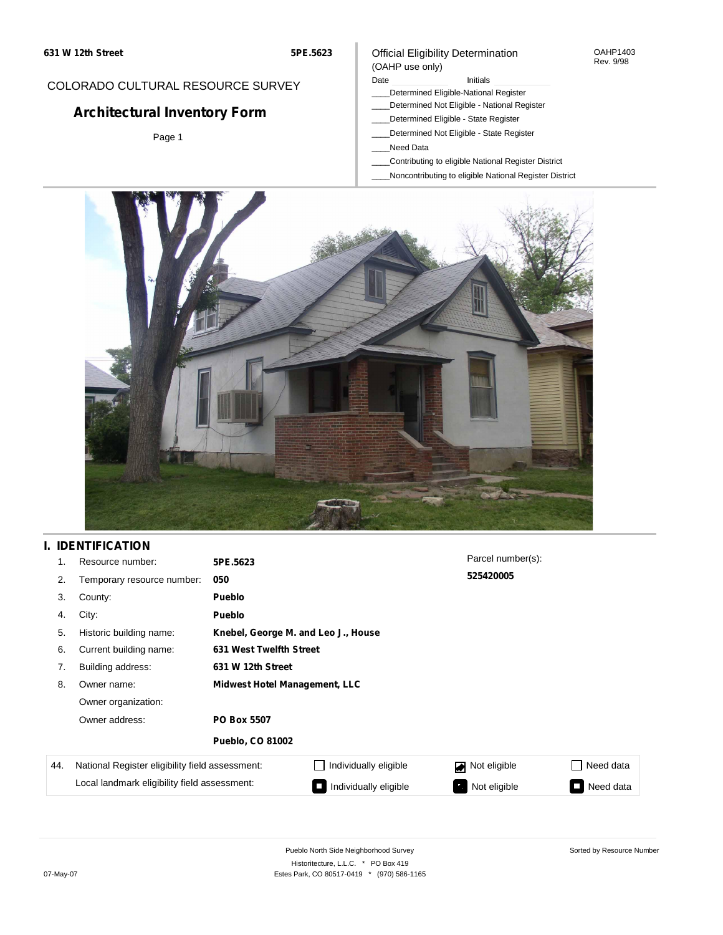## COLORADO CULTURAL RESOURCE SURVEY

# **Architectural Inventory Form**

Page 1

#### Official Eligibility Determination (OAHP use only)

#### Date **Initials** Initials

- \_\_\_\_Determined Eligible-National Register
- \_\_\_\_Determined Not Eligible National Register
- \_\_\_\_Determined Eligible State Register
- \_\_\_\_Determined Not Eligible State Register
- \_\_\_\_Need Data
- \_\_\_\_Contributing to eligible National Register District
- \_\_\_\_Noncontributing to eligible National Register District



## **I. IDENTIFICATION**

| 1.  | Resource number:                                                                                | 5PE.5623                             |                       | Parcel number(s): |                  |  |
|-----|-------------------------------------------------------------------------------------------------|--------------------------------------|-----------------------|-------------------|------------------|--|
| 2.  | Temporary resource number:                                                                      | 050                                  |                       | 525420005         |                  |  |
| 3.  | County:                                                                                         | Pueblo                               |                       |                   |                  |  |
| 4.  | City:                                                                                           | Pueblo                               |                       |                   |                  |  |
| 5.  | Historic building name:                                                                         | Knebel, George M. and Leo J., House  |                       |                   |                  |  |
| 6.  | Current building name:                                                                          | 631 West Twelfth Street              |                       |                   |                  |  |
| 7.  | Building address:                                                                               | 631 W 12th Street                    |                       |                   |                  |  |
| 8.  | Owner name:                                                                                     | <b>Midwest Hotel Management, LLC</b> |                       |                   |                  |  |
|     | Owner organization:                                                                             |                                      |                       |                   |                  |  |
|     | Owner address:                                                                                  | <b>PO Box 5507</b>                   |                       |                   |                  |  |
|     |                                                                                                 | <b>Pueblo, CO 81002</b>              |                       |                   |                  |  |
| 44. | National Register eligibility field assessment:<br>Local landmark eligibility field assessment: |                                      | Individually eligible | Not eligible      | Need data<br>- 1 |  |
|     |                                                                                                 |                                      | Individually eligible | Not eligible      | Need data        |  |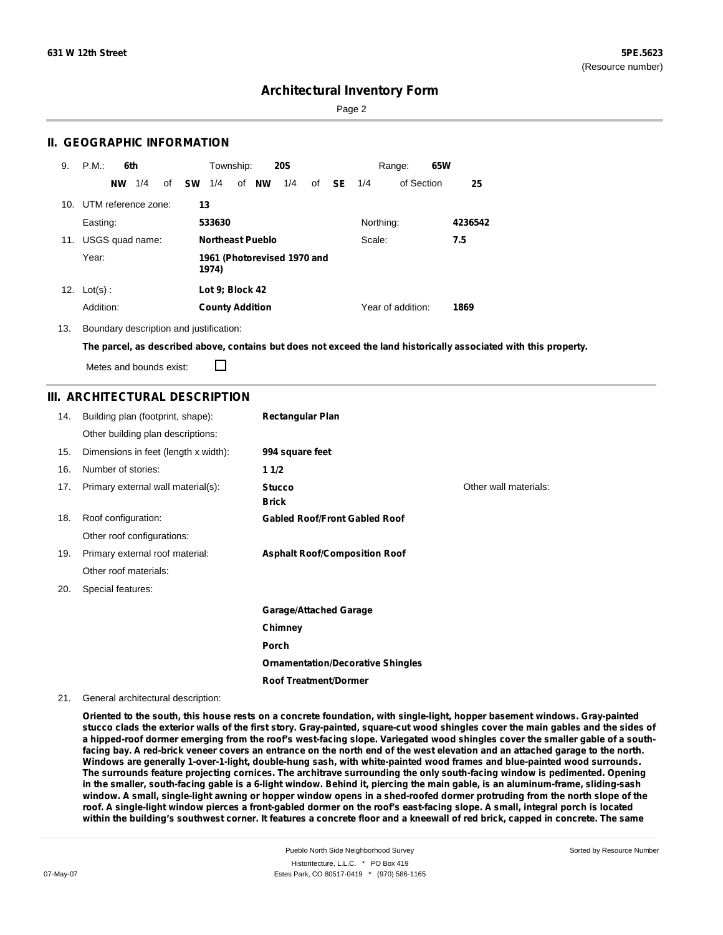Page 2

### **II. GEOGRAPHIC INFORMATION**

| 9.  | P.M.<br>6th            | Township:<br><b>20S</b>                              | 65W<br>Range:     |         |
|-----|------------------------|------------------------------------------------------|-------------------|---------|
|     | 1/4<br><b>NW</b><br>of | <b>SW</b><br>1/4<br>of <b>NW</b><br>1/4<br>SE.<br>of | of Section<br>1/4 | 25      |
| 10. | UTM reference zone:    | 13                                                   |                   |         |
|     | Easting:               | 533630                                               | Northing:         | 4236542 |
| 11. | USGS quad name:        | <b>Northeast Pueblo</b>                              | Scale:            | 7.5     |
|     | Year:                  | 1961 (Photorevised 1970 and<br>1974)                 |                   |         |
| 12. | $Lot(s)$ :             | Lot 9; Block 42                                      |                   |         |
|     | Addition:              | <b>County Addition</b>                               | Year of addition: | 1869    |

13. Boundary description and justification:

The parcel, as described above, contains but does not exceed the land historically associated with this property.

Metes and bounds exist:

П

## **III. ARCHITECTURAL DESCRIPTION**

| 14. | Building plan (footprint, shape):    | <b>Rectangular Plan</b>                  |                       |
|-----|--------------------------------------|------------------------------------------|-----------------------|
|     | Other building plan descriptions:    |                                          |                       |
| 15. | Dimensions in feet (length x width): | 994 square feet                          |                       |
| 16. | Number of stories:                   | 11/2                                     |                       |
| 17. | Primary external wall material(s):   | <b>Stucco</b><br><b>Brick</b>            | Other wall materials: |
| 18. | Roof configuration:                  | <b>Gabled Roof/Front Gabled Roof</b>     |                       |
|     | Other roof configurations:           |                                          |                       |
| 19. | Primary external roof material:      | <b>Asphalt Roof/Composition Roof</b>     |                       |
|     | Other roof materials:                |                                          |                       |
| 20. | Special features:                    |                                          |                       |
|     |                                      | <b>Garage/Attached Garage</b>            |                       |
|     |                                      | Chimney                                  |                       |
|     |                                      | Porch                                    |                       |
|     |                                      | <b>Ornamentation/Decorative Shingles</b> |                       |
|     |                                      | <b>Roof Treatment/Dormer</b>             |                       |

21. General architectural description:

Oriented to the south, this house rests on a concrete foundation, with single-light, hopper basement windows. Gray-painted stucco clads the exterior walls of the first story. Gray-painted, square-cut wood shingles cover the main gables and the sides of a hipped-roof dormer emerging from the roof's west-facing slope. Variegated wood shingles cover the smaller gable of a southfacing bay. A red-brick veneer covers an entrance on the north end of the west elevation and an attached garage to the north. **Windows are generally 1-over-1-light, double-hung sash, with white-painted wood frames and blue-painted wood surrounds.** The surrounds feature projecting cornices. The architrave surrounding the only south-facing window is pedimented. Opening in the smaller, south-facing gable is a 6-light window. Behind it, piercing the main gable, is an aluminum-frame, sliding-sash window. A small, single-light awning or hopper window opens in a shed-roofed dormer protruding from the north slope of the roof. A single-light window pierces a front-gabled dormer on the roof's east-facing slope. A small, integral porch is located within the building's southwest corner. It features a concrete floor and a kneewall of red brick, capped in concrete. The same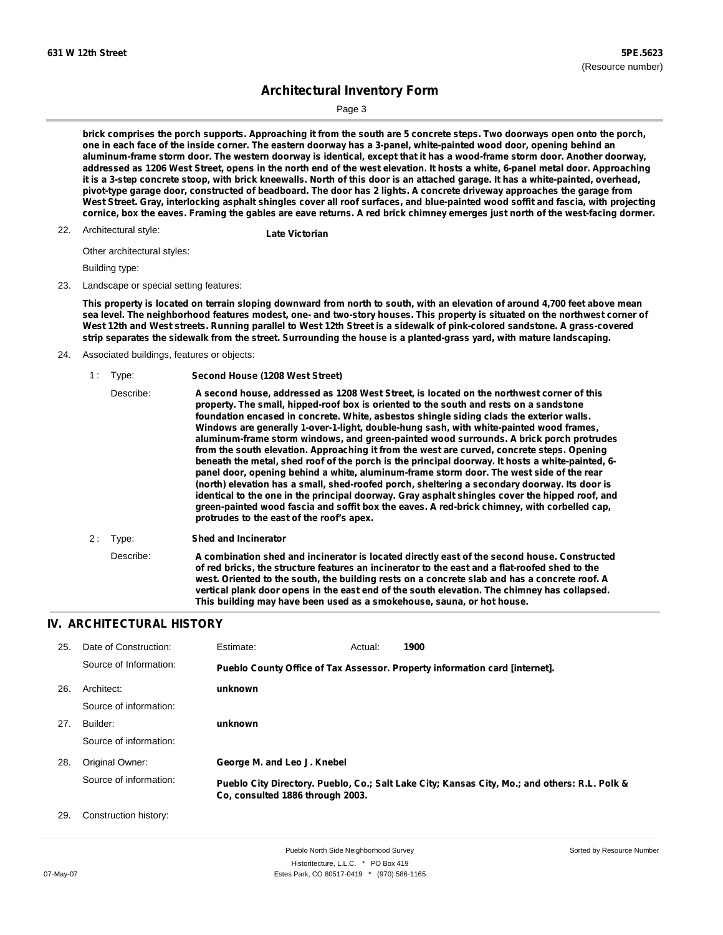Page 3

brick comprises the porch supports. Approaching it from the south are 5 concrete steps. Two doorways open onto the porch, one in each face of the inside corner. The eastern doorway has a 3-panel, white-painted wood door, opening behind an aluminum-frame storm door. The western doorway is identical, except that it has a wood-frame storm door. Another doorway, addressed as 1206 West Street, opens in the north end of the west elevation. It hosts a white, 6-panel metal door. Approaching it is a 3-step concrete stoop, with brick kneewalls. North of this door is an attached garage. It has a white-painted, overhead, pivot-type garage door, constructed of beadboard. The door has 2 lights. A concrete driveway approaches the garage from West Street. Gray, interlocking asphalt shingles cover all roof surfaces, and blue-painted wood soffit and fascia, with projecting cornice, box the eaves. Framing the gables are eave returns. A red brick chimney emerges just north of the west-facing dormer.

Architectural style: 22. **Late Victorian**

Other architectural styles:

Building type:

23. Landscape or special setting features:

This property is located on terrain sloping downward from north to south, with an elevation of around 4,700 feet above mean sea level. The neighborhood features modest, one- and two-story houses. This property is situated on the northwest corner of West 12th and West streets. Running parallel to West 12th Street is a sidewalk of pink-colored sandstone. A grass-covered strip separates the sidewalk from the street. Surrounding the house is a planted-grass yard, with mature landscaping.

- 24. Associated buildings, features or objects:
	- 1 : Type: **Second House (1208 West Street)**

| Describe: | A second house, addressed as 1208 West Street, is located on the northwest corner of this<br>property. The small, hipped-roof box is oriented to the south and rests on a sandstone<br>foundation encased in concrete. White, asbestos shingle siding clads the exterior walls.<br>Windows are generally 1-over-1-light, double-hung sash, with white-painted wood frames,<br>aluminum-frame storm windows, and green-painted wood surrounds. A brick porch protrudes<br>from the south elevation. Approaching it from the west are curved, concrete steps. Opening<br>beneath the metal, shed roof of the porch is the principal doorway. It hosts a white-painted, 6-<br>panel door, opening behind a white, aluminum-frame storm door. The west side of the rear<br>(north) elevation has a small, shed-roofed porch, sheltering a secondary doorway. Its door is<br>identical to the one in the principal doorway. Gray asphalt shingles cover the hipped roof, and<br>green-painted wood fascia and soffit box the eaves. A red-brick chimney, with corbelled cap,<br>protrudes to the east of the roof's apex. |
|-----------|----------------------------------------------------------------------------------------------------------------------------------------------------------------------------------------------------------------------------------------------------------------------------------------------------------------------------------------------------------------------------------------------------------------------------------------------------------------------------------------------------------------------------------------------------------------------------------------------------------------------------------------------------------------------------------------------------------------------------------------------------------------------------------------------------------------------------------------------------------------------------------------------------------------------------------------------------------------------------------------------------------------------------------------------------------------------------------------------------------------------|
|-----------|----------------------------------------------------------------------------------------------------------------------------------------------------------------------------------------------------------------------------------------------------------------------------------------------------------------------------------------------------------------------------------------------------------------------------------------------------------------------------------------------------------------------------------------------------------------------------------------------------------------------------------------------------------------------------------------------------------------------------------------------------------------------------------------------------------------------------------------------------------------------------------------------------------------------------------------------------------------------------------------------------------------------------------------------------------------------------------------------------------------------|

2 : Type: **Shed and Incinerator** Describe: **A combination shed and incinerator is located directly east of the second house. Constructed of red bricks, the structure features an incinerator to the east and a flat-roofed shed to the west. Oriented to the south, the building rests on a concrete slab and has a concrete roof. A vertical plank door opens in the east end of the south elevation. The chimney has collapsed. This building may have been used as a smokehouse, sauna, or hot house.**

### **IV. ARCHITECTURAL HISTORY**

| 25. | Date of Construction:  | Estimate:                        | Actual: | 1900                                                                                          |  |
|-----|------------------------|----------------------------------|---------|-----------------------------------------------------------------------------------------------|--|
|     | Source of Information: |                                  |         | Pueblo County Office of Tax Assessor. Property information card [internet].                   |  |
| 26. | Architect:             | unknown                          |         |                                                                                               |  |
|     | Source of information: |                                  |         |                                                                                               |  |
| 27. | Builder:               | unknown                          |         |                                                                                               |  |
|     | Source of information: |                                  |         |                                                                                               |  |
| 28. | Original Owner:        | George M. and Leo J. Knebel      |         |                                                                                               |  |
|     | Source of information: | Co. consulted 1886 through 2003. |         | Pueblo City Directory. Pueblo, Co.; Salt Lake City; Kansas City, Mo.; and others: R.L. Polk & |  |
| 29. | Construction history:  |                                  |         |                                                                                               |  |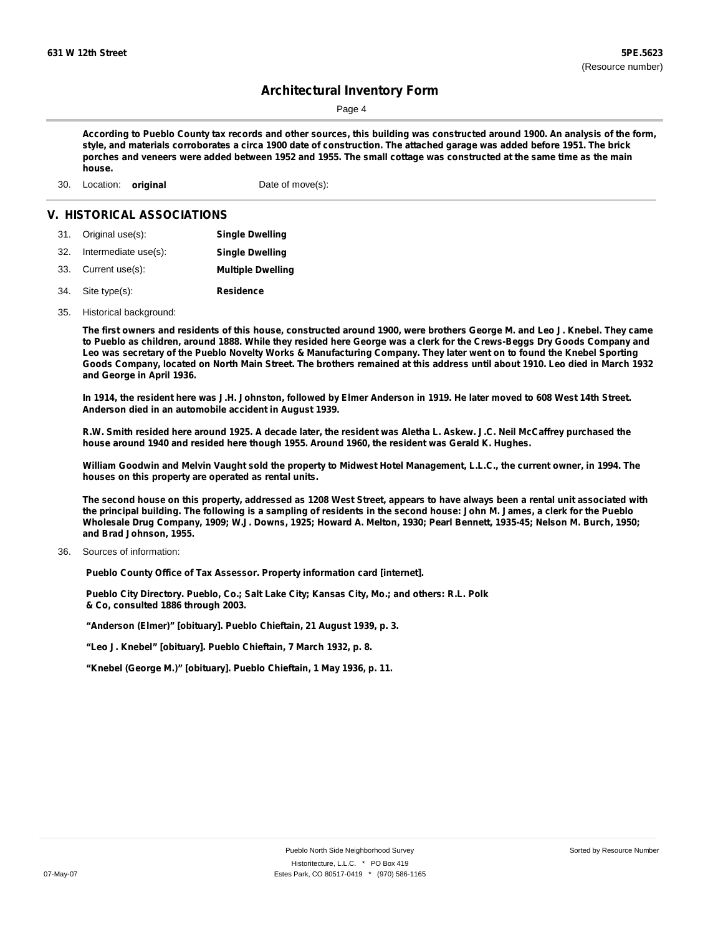Page 4

According to Pueblo County tax records and other sources, this building was constructed around 1900. An analysis of the form, style, and materials corroborates a circa 1900 date of construction. The attached garage was added before 1951. The brick porches and veneers were added between 1952 and 1955. The small cottage was constructed at the same time as the main **house.**

30. Location: **original** Date of move(s):

#### **V. HISTORICAL ASSOCIATIONS**

- 31. Original use(s): **Single Dwelling**
- 32. Intermediate use(s): **Single Dwelling**
- 33. Current use(s): **Multiple Dwelling**
- **Residence** Site type(s): 34.
- 35. Historical background:

The first owners and residents of this house, constructed around 1900, were brothers George M. and Leo J. Knebel. They came to Pueblo as children, around 1888. While they resided here George was a clerk for the Crews-Beggs Dry Goods Company and Leo was secretary of the Pueblo Novelty Works & Manufacturing Company. They later went on to found the Knebel Sporting Goods Company, located on North Main Street. The brothers remained at this address until about 1910. Leo died in March 1932 **and George in April 1936.**

In 1914, the resident here was J.H. Johnston, followed by Elmer Anderson in 1919. He later moved to 608 West 14th Street. **Anderson died in an automobile accident in August 1939.**

R.W. Smith resided here around 1925. A decade later, the resident was Aletha L. Askew. J.C. Neil McCaffrey purchased the **house around 1940 and resided here though 1955. Around 1960, the resident was Gerald K. Hughes.**

William Goodwin and Melvin Vaught sold the property to Midwest Hotel Management, L.L.C., the current owner, in 1994. The **houses on this property are operated as rental units.**

The second house on this property, addressed as 1208 West Street, appears to have always been a rental unit associated with the principal building. The following is a sampling of residents in the second house: John M. James, a clerk for the Pueblo Wholesale Drug Company, 1909; W.J. Downs, 1925; Howard A. Melton, 1930; Pearl Bennett, 1935-45; Nelson M. Burch, 1950; **and Brad Johnson, 1955.**

Sources of information: 36.

**Pueblo County Office of Tax Assessor. Property information card [internet].**

**Pueblo City Directory. Pueblo, Co.; Salt Lake City; Kansas City, Mo.; and others: R.L. Polk & Co, consulted 1886 through 2003.**

**"Anderson (Elmer)" [obituary]. Pueblo Chieftain, 21 August 1939, p. 3.**

**"Leo J. Knebel" [obituary]. Pueblo Chieftain, 7 March 1932, p. 8.**

**"Knebel (George M.)" [obituary]. Pueblo Chieftain, 1 May 1936, p. 11.**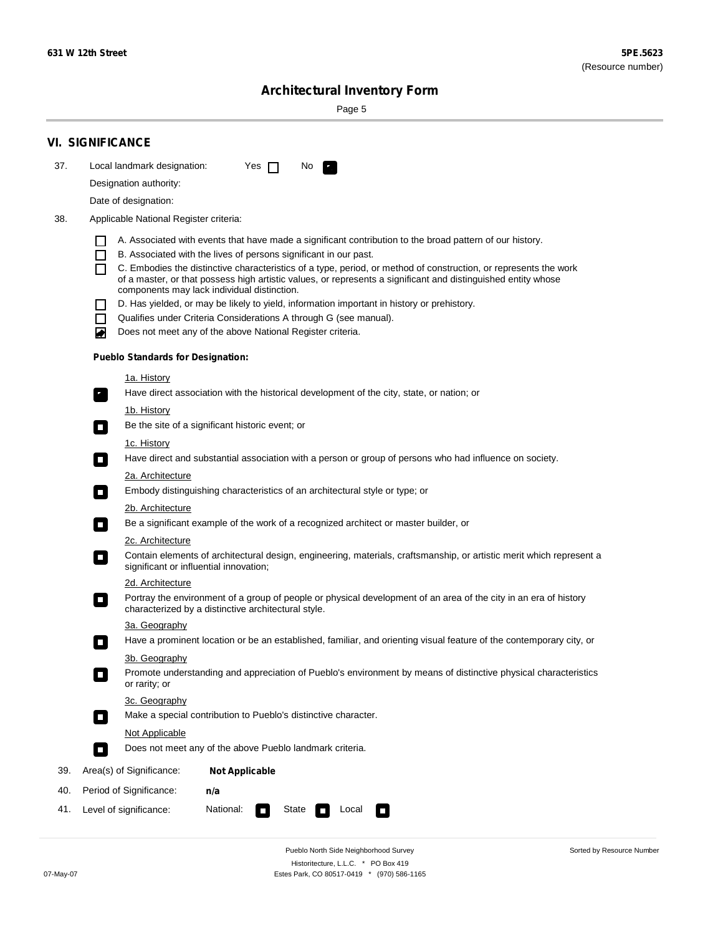$\sim$ 

Sorted by Resource Number

# **Architectural Inventory Form**

Page 5

|     | <b>VI. SIGNIFICANCE</b>                                                                                                                                                                                                                                                |                                                                                                                                                                                                                                                                                                                                                                                                                                                                                                                                                                                                                                                                                                                                                                                                                                                                                                                                                                                                                                                                                                                                                                                                                                                                                                                                                   |  |  |  |
|-----|------------------------------------------------------------------------------------------------------------------------------------------------------------------------------------------------------------------------------------------------------------------------|---------------------------------------------------------------------------------------------------------------------------------------------------------------------------------------------------------------------------------------------------------------------------------------------------------------------------------------------------------------------------------------------------------------------------------------------------------------------------------------------------------------------------------------------------------------------------------------------------------------------------------------------------------------------------------------------------------------------------------------------------------------------------------------------------------------------------------------------------------------------------------------------------------------------------------------------------------------------------------------------------------------------------------------------------------------------------------------------------------------------------------------------------------------------------------------------------------------------------------------------------------------------------------------------------------------------------------------------------|--|--|--|
| 37. | Local landmark designation:                                                                                                                                                                                                                                            | Yes $\Box$<br>No.<br>$\mathcal{F}_\alpha$                                                                                                                                                                                                                                                                                                                                                                                                                                                                                                                                                                                                                                                                                                                                                                                                                                                                                                                                                                                                                                                                                                                                                                                                                                                                                                         |  |  |  |
|     | Designation authority:                                                                                                                                                                                                                                                 |                                                                                                                                                                                                                                                                                                                                                                                                                                                                                                                                                                                                                                                                                                                                                                                                                                                                                                                                                                                                                                                                                                                                                                                                                                                                                                                                                   |  |  |  |
|     | Date of designation:                                                                                                                                                                                                                                                   |                                                                                                                                                                                                                                                                                                                                                                                                                                                                                                                                                                                                                                                                                                                                                                                                                                                                                                                                                                                                                                                                                                                                                                                                                                                                                                                                                   |  |  |  |
| 38. | Applicable National Register criteria:                                                                                                                                                                                                                                 |                                                                                                                                                                                                                                                                                                                                                                                                                                                                                                                                                                                                                                                                                                                                                                                                                                                                                                                                                                                                                                                                                                                                                                                                                                                                                                                                                   |  |  |  |
|     | $\mathsf{L}$<br>П<br>П<br>$\Box$<br>П<br>O<br>1a. History<br>$\mathbf{r}_\perp$<br><u>1b. History</u><br>$\overline{\phantom{a}}$<br>1c. History<br>$\Box$<br>2a. Architecture<br>$\Box$<br>2b. Architecture<br>$\sim$<br>2c. Architecture<br>$\overline{\phantom{a}}$ | A. Associated with events that have made a significant contribution to the broad pattern of our history.<br>B. Associated with the lives of persons significant in our past.<br>C. Embodies the distinctive characteristics of a type, period, or method of construction, or represents the work<br>of a master, or that possess high artistic values, or represents a significant and distinguished entity whose<br>components may lack individual distinction.<br>D. Has yielded, or may be likely to yield, information important in history or prehistory.<br>Qualifies under Criteria Considerations A through G (see manual).<br>Does not meet any of the above National Register criteria.<br><b>Pueblo Standards for Designation:</b><br>Have direct association with the historical development of the city, state, or nation; or<br>Be the site of a significant historic event; or<br>Have direct and substantial association with a person or group of persons who had influence on society.<br>Embody distinguishing characteristics of an architectural style or type; or<br>Be a significant example of the work of a recognized architect or master builder, or<br>Contain elements of architectural design, engineering, materials, craftsmanship, or artistic merit which represent a<br>significant or influential innovation; |  |  |  |
|     | 2d. Architecture                                                                                                                                                                                                                                                       |                                                                                                                                                                                                                                                                                                                                                                                                                                                                                                                                                                                                                                                                                                                                                                                                                                                                                                                                                                                                                                                                                                                                                                                                                                                                                                                                                   |  |  |  |
|     | $\overline{\phantom{a}}$                                                                                                                                                                                                                                               | Portray the environment of a group of people or physical development of an area of the city in an era of history<br>characterized by a distinctive architectural style.                                                                                                                                                                                                                                                                                                                                                                                                                                                                                                                                                                                                                                                                                                                                                                                                                                                                                                                                                                                                                                                                                                                                                                           |  |  |  |
|     | 3a. Geography                                                                                                                                                                                                                                                          |                                                                                                                                                                                                                                                                                                                                                                                                                                                                                                                                                                                                                                                                                                                                                                                                                                                                                                                                                                                                                                                                                                                                                                                                                                                                                                                                                   |  |  |  |
|     |                                                                                                                                                                                                                                                                        | Have a prominent location or be an established, familiar, and orienting visual feature of the contemporary city, or                                                                                                                                                                                                                                                                                                                                                                                                                                                                                                                                                                                                                                                                                                                                                                                                                                                                                                                                                                                                                                                                                                                                                                                                                               |  |  |  |
|     | 3b. Geography<br>or rarity; or                                                                                                                                                                                                                                         | Promote understanding and appreciation of Pueblo's environment by means of distinctive physical characteristics                                                                                                                                                                                                                                                                                                                                                                                                                                                                                                                                                                                                                                                                                                                                                                                                                                                                                                                                                                                                                                                                                                                                                                                                                                   |  |  |  |
|     | 3c. Geography                                                                                                                                                                                                                                                          |                                                                                                                                                                                                                                                                                                                                                                                                                                                                                                                                                                                                                                                                                                                                                                                                                                                                                                                                                                                                                                                                                                                                                                                                                                                                                                                                                   |  |  |  |
|     | $\overline{\phantom{a}}$                                                                                                                                                                                                                                               | Make a special contribution to Pueblo's distinctive character.                                                                                                                                                                                                                                                                                                                                                                                                                                                                                                                                                                                                                                                                                                                                                                                                                                                                                                                                                                                                                                                                                                                                                                                                                                                                                    |  |  |  |
|     | Not Applicable                                                                                                                                                                                                                                                         |                                                                                                                                                                                                                                                                                                                                                                                                                                                                                                                                                                                                                                                                                                                                                                                                                                                                                                                                                                                                                                                                                                                                                                                                                                                                                                                                                   |  |  |  |
|     | $\Box$                                                                                                                                                                                                                                                                 | Does not meet any of the above Pueblo landmark criteria.                                                                                                                                                                                                                                                                                                                                                                                                                                                                                                                                                                                                                                                                                                                                                                                                                                                                                                                                                                                                                                                                                                                                                                                                                                                                                          |  |  |  |
| 39. | Area(s) of Significance:                                                                                                                                                                                                                                               | <b>Not Applicable</b>                                                                                                                                                                                                                                                                                                                                                                                                                                                                                                                                                                                                                                                                                                                                                                                                                                                                                                                                                                                                                                                                                                                                                                                                                                                                                                                             |  |  |  |
| 40. | Period of Significance:                                                                                                                                                                                                                                                | n/a                                                                                                                                                                                                                                                                                                                                                                                                                                                                                                                                                                                                                                                                                                                                                                                                                                                                                                                                                                                                                                                                                                                                                                                                                                                                                                                                               |  |  |  |
| 41. | Level of significance:                                                                                                                                                                                                                                                 | National:<br>State<br>Local<br>U                                                                                                                                                                                                                                                                                                                                                                                                                                                                                                                                                                                                                                                                                                                                                                                                                                                                                                                                                                                                                                                                                                                                                                                                                                                                                                                  |  |  |  |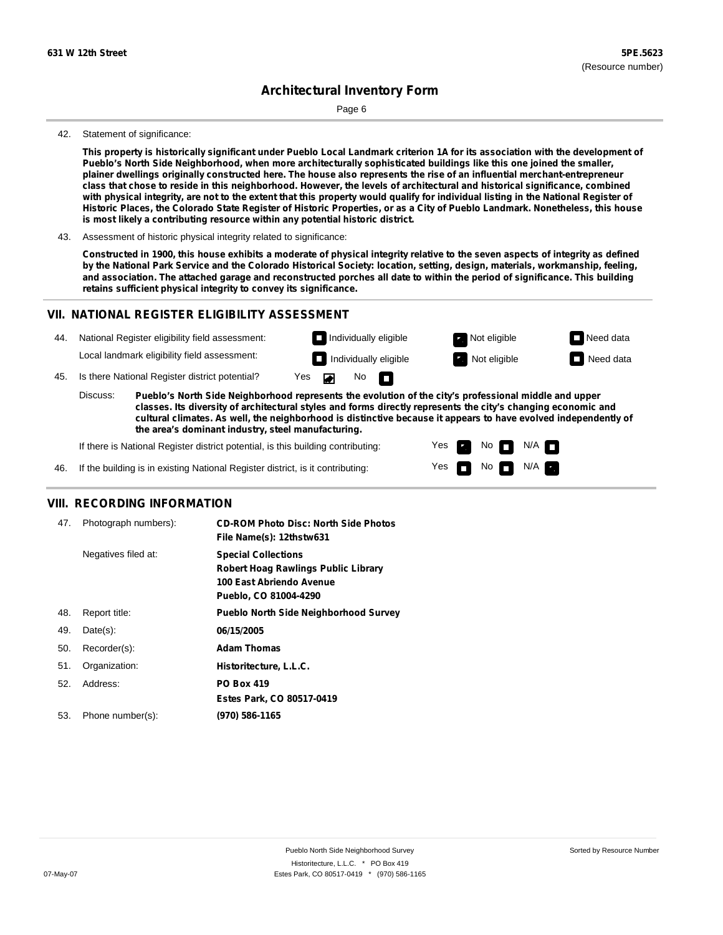Page 6

#### 42. Statement of significance:

This property is historically significant under Pueblo Local Landmark criterion 1A for its association with the development of **Pueblo's North Side Neighborhood, when more architecturally sophisticated buildings like this one joined the smaller,** plainer dwellings originally constructed here. The house also represents the rise of an influential merchant-entrepreneur class that chose to reside in this neighborhood. However, the levels of architectural and historical significance, combined with physical integrity, are not to the extent that this property would qualify for individual listing in the National Register of Historic Places, the Colorado State Register of Historic Properties, or as a City of Pueblo Landmark. Nonetheless, this house **is most likely a contributing resource within any potential historic district.**

43. Assessment of historic physical integrity related to significance:

Constructed in 1900, this house exhibits a moderate of physical integrity relative to the seven aspects of integrity as defined by the National Park Service and the Colorado Historical Society: location, setting, design, materials, workmanship, feeling, and association. The attached garage and reconstructed porches all date to within the period of significance. This building **retains sufficient physical integrity to convey its significance.**

#### **VII. NATIONAL REGISTER ELIGIBILITY ASSESSMENT**



**classes. Its diversity of architectural styles and forms directly represents the city's changing economic and cultural climates. As well, the neighborhood is distinctive because it appears to have evolved independently of the area's dominant industry, steel manufacturing.**

> Yes Yes

No **DI**N/A No  $\blacksquare$  N/A  $\blacksquare$ 

If there is National Register district potential, is this building contributing:

If the building is in existing National Register district, is it contributing: 46.

#### **VIII. RECORDING INFORMATION**

| 47. | Photograph numbers): | <b>CD-ROM Photo Disc: North Side Photos</b><br>File Name(s): 12thstw631                                                       |
|-----|----------------------|-------------------------------------------------------------------------------------------------------------------------------|
|     | Negatives filed at:  | <b>Special Collections</b><br><b>Robert Hoag Rawlings Public Library</b><br>100 East Abriendo Avenue<br>Pueblo, CO 81004-4290 |
| 48. | Report title:        | <b>Pueblo North Side Neighborhood Survey</b>                                                                                  |
| 49. | $Date(s)$ :          | 06/15/2005                                                                                                                    |
| 50. | Recorder(s):         | <b>Adam Thomas</b>                                                                                                            |
| 51. | Organization:        | Historitecture, L.L.C.                                                                                                        |
| 52. | Address:             | <b>PO Box 419</b>                                                                                                             |
|     |                      | Estes Park, CO 80517-0419                                                                                                     |
| 53. | Phone number(s):     | (970) 586-1165                                                                                                                |
|     |                      |                                                                                                                               |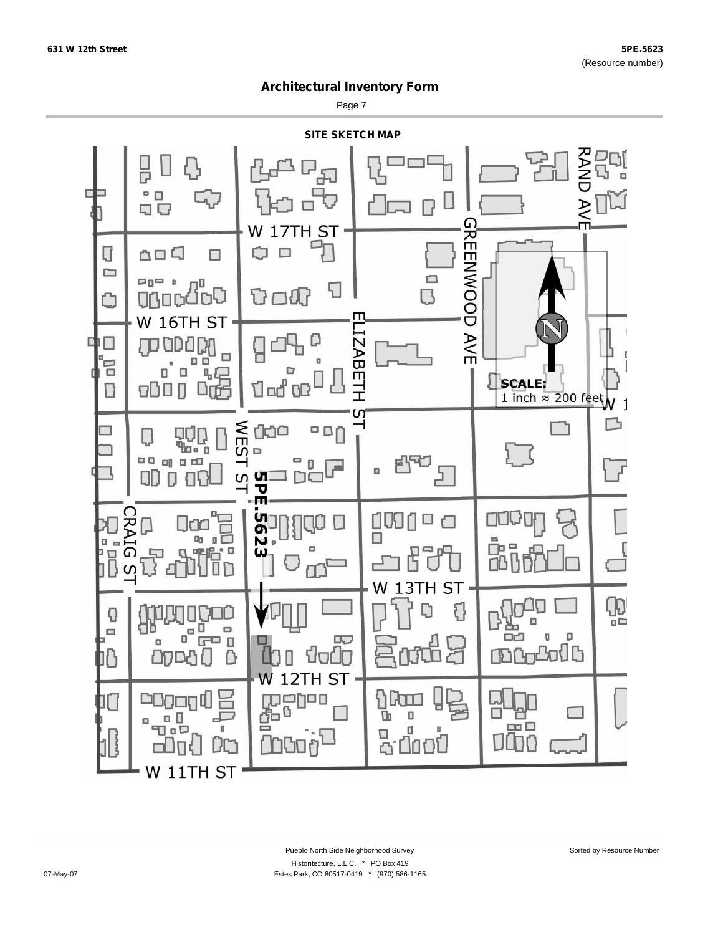Page 7